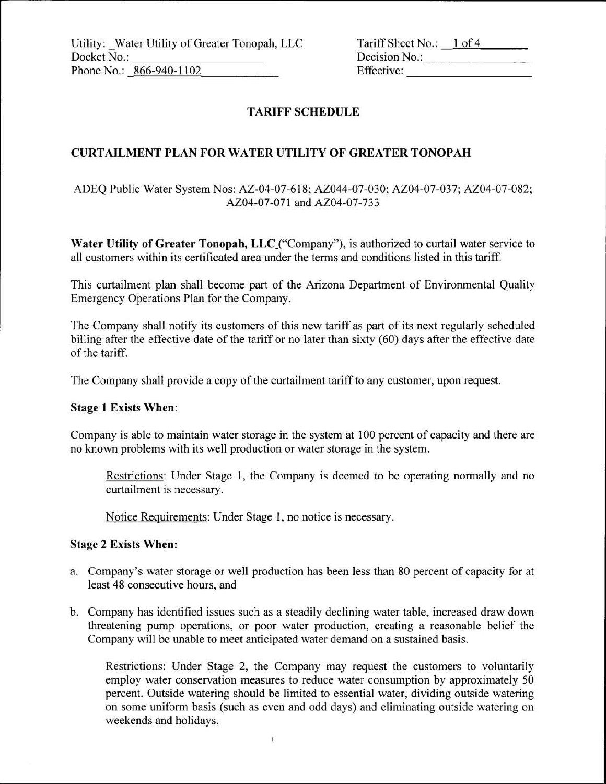Utility: Water Utility of Greater Tonopah, LLC Docket No.: Phone No.: 866-940-1102

| Tariff Sheet No.: | $1$ of 4 |
|-------------------|----------|
| Decision No.:     |          |
| Effective:        |          |

# **TARIFF SCHEDULE**

## **CURTAILMENT PLAN FOR WATER UTILITY OF GREATER TONOPAH**

# ADEQ Public Water System Nos: AZ-04-07-6l8, AZ044-07-030, AZ04-07-037; AZ04-07-082; AZ04-07-071 and AZ04-07-733

Water Utility of Greater Tonopah, LLC ("Company"), is authorized to curtail water service to all customers within its certificated area under the terms and conditions listed in this tariff.

This curtailment plan shall become part of the Arizona Department of Environmental Quality Emergency Operations Plan for the Company.

The Company shall notify its customers of this new tariff as part of its next regularly scheduled billing after the effective date of the tariff or no later than sixty (60) days after the effective date of the tariff.

The Company shall provide a copy of the curtailment tariff to any customer, upon request.

#### **Stage l Exists When:**

Company is able to maintain water storage in the system at 100 percent of capacity and there are no known problems with its well production or water storage in the system.

Restrictions: Under Stage 1, the Company is deemed to be operating normally and no curtailment is necessary.

Notice Requirements: Under Stage I, no notice is necessary.

### **Stage**2 Exists **When:**

- a. Company's water storage or well production has been less than 80 percent of capacity for at least 48 consecutive hours, and
- b. Company has identified issues such as a steadily declining water table, increased draw down threatening pump operations, or poor water production, creating a reasonable belief the Company will be unable to meet anticipated water demand on a sustained basis.

 $\mathfrak{t}$ 

Restrictions: Under Stage 2, the Company may request the customers to voluntarily employ water conservation measures to reduce water consumption by approximately 50 percent. Outside watering should be limited to essential water, dividing outside watering on some uniform basis (such as even and odd days) and eliminating outside watering on weekends and holidays.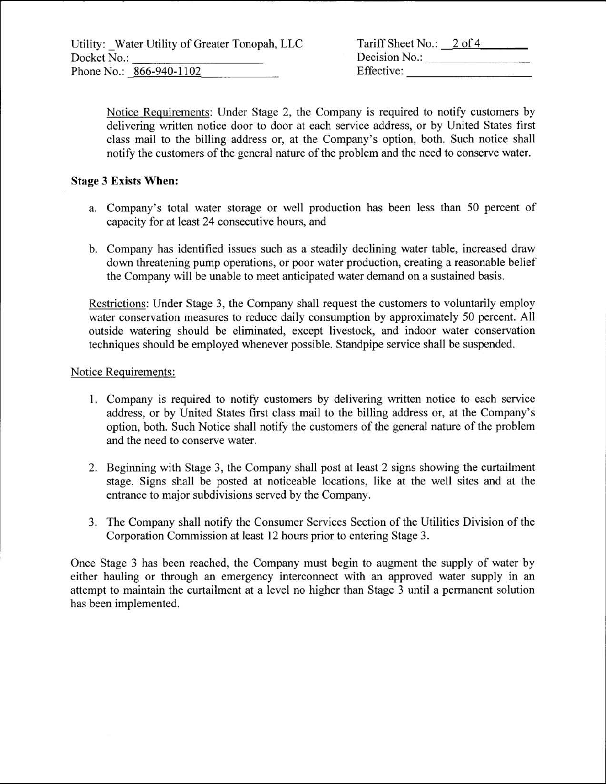|             | Utility: Water Utility of Greater Tonopah, LLC |
|-------------|------------------------------------------------|
| Docket No.: |                                                |
|             | Phone No.: 866-940-1102                        |

| Tariff Sheet No.: 2 of 4 |  |
|--------------------------|--|
| Decision No.:            |  |
| Effective:               |  |

Notice Requirements: Under Stage 2, the Company is required to notify customers by delivering written notice door to door at each service address, or by United States first class mail to the billing address or, at the Company's option, both. Such notice shall notify the customers of the general nature of the problem and the need to conserve water.

# **Stage 3 Exists When:**

- a. Company's total water storage or well production has been less than 50 percent of capacity for at least 24 consecutive hours, and
- b. Company has identified issues such as a steadily declining water table, increased draw down threatening pump operations, or poor water production, creating a reasonable belief the Company will be unable to meet anticipated water demand on a sustained basis.

Restrictions: Under Stage 3, the Company shall request the customers to voluntarily employ water conservation measures to reduce daily consumption by approximately 50 percent. All outside watering should be eliminated, except livestock, and indoor water conservation techniques should be employed whenever possible. Standpipe service shall be suspended.

### Notice Requirements:

- l. Company is required to notify customers by delivering written notice to each service address, or by United States first class mail to the billing address or, at the Company's option, both. Such Notice shall notify the customers of the general nature of the problem and the need to conserve water.
- 2. Beginning with Stage 3, the Company shall post at least 2 signs showing the curtailment stage. Signs shall be posted at noticeable locations, like at the well sites and at the entrance to major subdivisions served by the Company.
- 3. The Company shall notify the Consumer Services Section of the **Utilities** Division of the Corporation Commission at least 12 hours prior to entering Stage 3.

Once Stage 3 has been reached, the Company must begin to augment the supply of water by either hauling or through an emergency interconnect with an approved water supply in an attempt to maintain the curtailment at a level no higher than Stage 3 until a permanent solution has been implemented.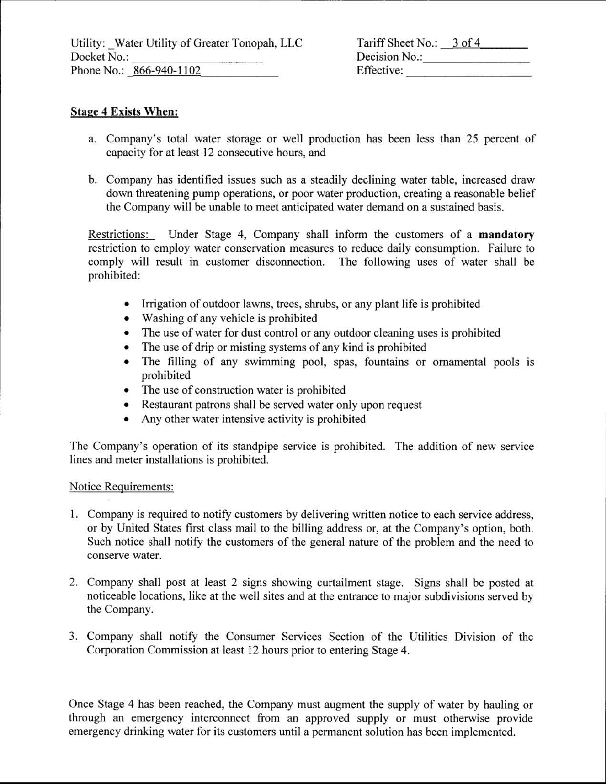Tariff Sheet No.: 3 of 4 Decision No.: Effective:

## **Stage 4 Exists When:**

- a. Company's total water storage or well production has been less than 25 percent of capacity for at least 12 consecutive hours, and
- b. Company has identified issues such as a steadily declining water table, increased draw down threatening pump operations, or poor water production, creating a reasonable belief the Company will be unable to meet anticipated water demand on a sustained basis.

Restrictions: Under Stage 4, Company shall inform the customers of a **mandatory** restriction to employ water conservation measures to reduce daily consumption. Failure to comply will result in customer disconnection. The following uses of water shall be prohibited:

- Irrigation of outdoor lawns, trees, shrubs, or any plant life is prohibited
- Washing of any vehicle is prohibited
- The use of water for dust control or any outdoor cleaning uses is prohibited
- The use of drip or misting systems of any kind is prohibited
- The filling of any swimming pool, spas, fountains or ornamental pools is prohibited
- The use of construction water is prohibited
- Restaurant patrons shall be served water only upon request
- Any other water intensive activity is prohibited

The Company's operation of its standpipe service is prohibited. The addition of new service lines and meter installations is prohibited.

### Notice Requirements:

- l. Company is required to notify customers by delivering written notice to each service address, or by United States first class mail to the billing address or, at the Company's option, both. Such notice shall notify the customers of the general nature of the problem and the need to conserve water.
- 2. Company shall post at least 2 signs showing curtailment stage. Signs shall be posted at noticeable locations, like at the well sites and at the entrance to major subdivisions served by the Company
- 3. Company shall notify the Consumer Services Section of the Utilities Division of the Corporation Commission at least 12 hours prior to entering Stage 4.

Once Stage 4 has been reached, the Company must augment the supply of water by hauling or through an emergency interconnect from an approved supply or must otherwise provide emergency drinking water for its customers until a permanent solution has been implemented.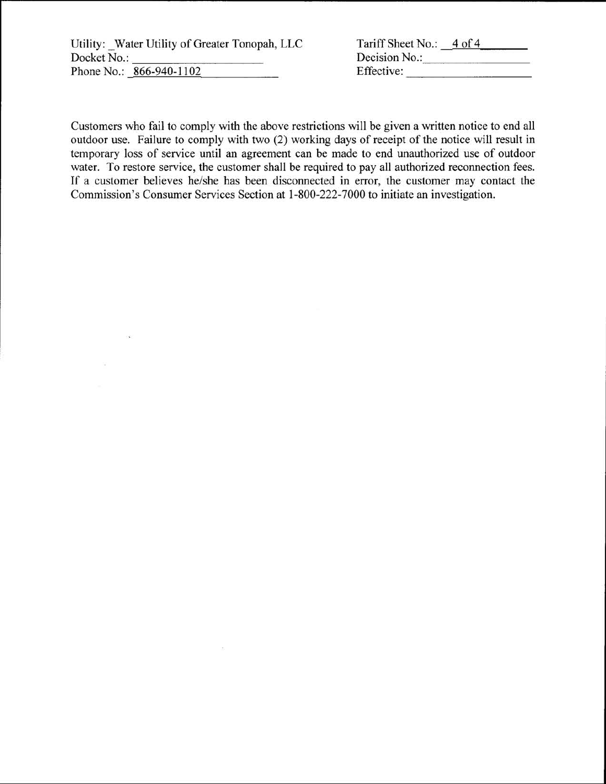Utility: Water Utility of Greater Tonopah, LLC Docket No.: Phone No.: 866-940-1102

| Tariff Sheet No.: | 4 of 4 |
|-------------------|--------|
| Decision No.:     |        |
| Effective:        |        |

Customers who fail to comply with the above restrictions will be given a written notice to end all outdoor use. Failure to comply with two (2) working days of receipt of the notice will result in temporary loss of service until an agreement can be made to end unauthorized use of outdoor water. To restore service, the customer shall be required to pay all authorized reconnection fees. If a customer believes he/she has been disconnected in error, the customer may contact the Commission's Consumer Services Section at 1-800-222-7000 to initiate an investigation.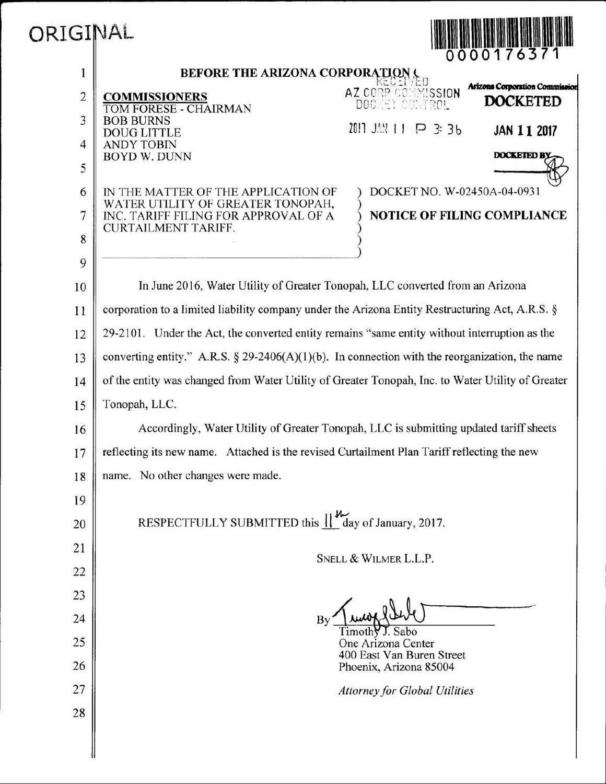| ORIGINAL       | 0000176371                                                                                                                                 |  |  |
|----------------|--------------------------------------------------------------------------------------------------------------------------------------------|--|--|
| 1              | BEFORE THE ARIZONA CORPORATION                                                                                                             |  |  |
| $\overline{c}$ | Arizona Corporation Commission<br>AZ CORP CONNISSION<br><b>COMMISSIONERS</b><br><b>DOCKETED</b><br>DOCKET CONTROL<br>TOM FORESE - CHAIRMAN |  |  |
| 3              | <b>BOB BURNS</b><br>2011 JAN 11 P 3: 36<br>JAN 11 2017<br><b>DOUG LITTLE</b>                                                               |  |  |
| $\overline{4}$ | <b>ANDY TOBIN</b><br><b>DOCKETED BY</b><br><b>BOYD W. DUNN</b>                                                                             |  |  |
| 5              |                                                                                                                                            |  |  |
| 6              | DOCKET NO. W-02450A-04-0931<br>IN THE MATTER OF THE APPLICATION OF<br>WATER UTILITY OF GREATER TONOPAH,                                    |  |  |
| 7              | INC. TARIFF FILING FOR APPROVAL OF A<br><b>NOTICE OF FILING COMPLIANCE</b><br><b>CURTAILMENT TARIFF.</b>                                   |  |  |
| 8              |                                                                                                                                            |  |  |
| 9              |                                                                                                                                            |  |  |
| 10             | In June 2016, Water Utility of Greater Tonopah, LLC converted from an Arizona                                                              |  |  |
| 11             | corporation to a limited liability company under the Arizona Entity Restructuring Act, A.R.S. §                                            |  |  |
| 12             | 29-2101. Under the Act, the converted entity remains "same entity without interruption as the                                              |  |  |
| 13             | converting entity." A.R.S. § 29-2406(A)(1)(b). In connection with the reorganization, the name                                             |  |  |
| 14             | of the entity was changed from Water Utility of Greater Tonopah, Inc. to Water Utility of Greater                                          |  |  |
| 15             | Tonopah, LLC.                                                                                                                              |  |  |
| 16             | Accordingly, Water Utility of Greater Tonopah, LLC is submitting updated tariff sheets                                                     |  |  |
| 17             | reflecting its new name. Attached is the revised Curtailment Plan Tariff reflecting the new                                                |  |  |
| 18             | name. No other changes were made.                                                                                                          |  |  |
| 19             |                                                                                                                                            |  |  |
| 20             | RESPECTFULLY SUBMITTED this $\lim_{x \to 0} \frac{1}{x}$ day of January, 2017.                                                             |  |  |
| 21             | SNELL & WILMER L.L.P.                                                                                                                      |  |  |
| 22             |                                                                                                                                            |  |  |
| 23             |                                                                                                                                            |  |  |
| 24             | By<br>J. Sabo<br>$l$ imoth $\forall$                                                                                                       |  |  |
| 25             | One Arizona Center<br>400 East Van Buren Street                                                                                            |  |  |
| 26             | Phoenix, Arizona 85004                                                                                                                     |  |  |
| 27             | <b>Attorney for Global Utilities</b>                                                                                                       |  |  |
| 28             |                                                                                                                                            |  |  |
|                |                                                                                                                                            |  |  |

I